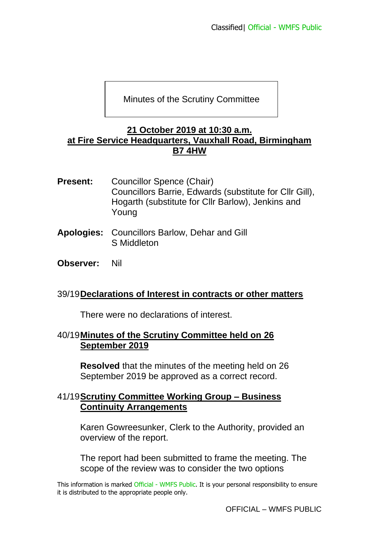Minutes of the Scrutiny Committee

#### **21 October 2019 at 10:30 a.m. at Fire Service Headquarters, Vauxhall Road, Birmingham B7 4HW**

- **Present:** Councillor Spence (Chair) Councillors Barrie, Edwards (substitute for Cllr Gill), Hogarth (substitute for Cllr Barlow), Jenkins and Young
- **Apologies:** Councillors Barlow, Dehar and Gill S Middleton
- **Observer:** Nil

#### 39/19**Declarations of Interest in contracts or other matters**

There were no declarations of interest.

## 40/19**Minutes of the Scrutiny Committee held on 26 September 2019**

**Resolved** that the minutes of the meeting held on 26 September 2019 be approved as a correct record.

# 41/19**Scrutiny Committee Working Group – Business Continuity Arrangements**

Karen Gowreesunker, Clerk to the Authority, provided an overview of the report.

The report had been submitted to frame the meeting. The scope of the review was to consider the two options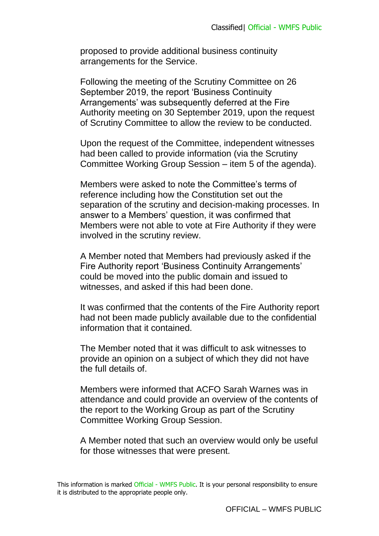proposed to provide additional business continuity arrangements for the Service.

Following the meeting of the Scrutiny Committee on 26 September 2019, the report 'Business Continuity Arrangements' was subsequently deferred at the Fire Authority meeting on 30 September 2019, upon the request of Scrutiny Committee to allow the review to be conducted.

Upon the request of the Committee, independent witnesses had been called to provide information (via the Scrutiny Committee Working Group Session – item 5 of the agenda).

Members were asked to note the Committee's terms of reference including how the Constitution set out the separation of the scrutiny and decision-making processes. In answer to a Members' question, it was confirmed that Members were not able to vote at Fire Authority if they were involved in the scrutiny review.

A Member noted that Members had previously asked if the Fire Authority report 'Business Continuity Arrangements' could be moved into the public domain and issued to witnesses, and asked if this had been done.

It was confirmed that the contents of the Fire Authority report had not been made publicly available due to the confidential information that it contained.

The Member noted that it was difficult to ask witnesses to provide an opinion on a subject of which they did not have the full details of.

Members were informed that ACFO Sarah Warnes was in attendance and could provide an overview of the contents of the report to the Working Group as part of the Scrutiny Committee Working Group Session.

A Member noted that such an overview would only be useful for those witnesses that were present.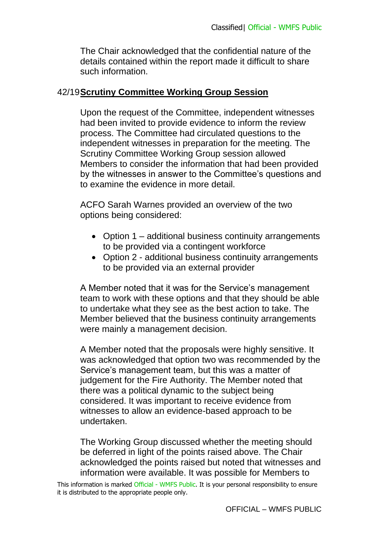The Chair acknowledged that the confidential nature of the details contained within the report made it difficult to share such information.

# 42/19**Scrutiny Committee Working Group Session**

Upon the request of the Committee, independent witnesses had been invited to provide evidence to inform the review process. The Committee had circulated questions to the independent witnesses in preparation for the meeting. The Scrutiny Committee Working Group session allowed Members to consider the information that had been provided by the witnesses in answer to the Committee's questions and to examine the evidence in more detail.

ACFO Sarah Warnes provided an overview of the two options being considered:

- Option 1 additional business continuity arrangements to be provided via a contingent workforce
- Option 2 additional business continuity arrangements to be provided via an external provider

A Member noted that it was for the Service's management team to work with these options and that they should be able to undertake what they see as the best action to take. The Member believed that the business continuity arrangements were mainly a management decision.

A Member noted that the proposals were highly sensitive. It was acknowledged that option two was recommended by the Service's management team, but this was a matter of judgement for the Fire Authority. The Member noted that there was a political dynamic to the subject being considered. It was important to receive evidence from witnesses to allow an evidence-based approach to be undertaken.

The Working Group discussed whether the meeting should be deferred in light of the points raised above. The Chair acknowledged the points raised but noted that witnesses and information were available. It was possible for Members to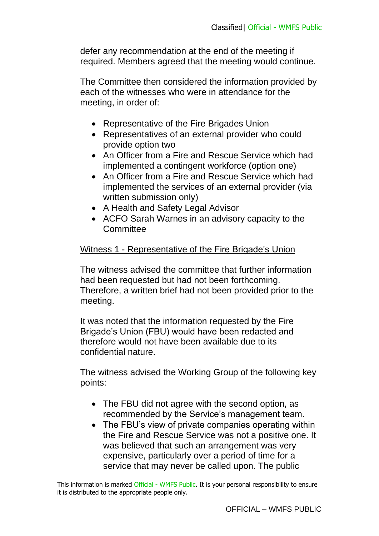defer any recommendation at the end of the meeting if required. Members agreed that the meeting would continue.

The Committee then considered the information provided by each of the witnesses who were in attendance for the meeting, in order of:

- Representative of the Fire Brigades Union
- Representatives of an external provider who could provide option two
- An Officer from a Fire and Rescue Service which had implemented a contingent workforce (option one)
- An Officer from a Fire and Rescue Service which had implemented the services of an external provider (via written submission only)
- A Health and Safety Legal Advisor
- ACFO Sarah Warnes in an advisory capacity to the **Committee**

## Witness 1 - Representative of the Fire Brigade's Union

The witness advised the committee that further information had been requested but had not been forthcoming. Therefore, a written brief had not been provided prior to the meeting.

It was noted that the information requested by the Fire Brigade's Union (FBU) would have been redacted and therefore would not have been available due to its confidential nature.

The witness advised the Working Group of the following key points:

- The FBU did not agree with the second option, as recommended by the Service's management team.
- The FBU's view of private companies operating within the Fire and Rescue Service was not a positive one. It was believed that such an arrangement was very expensive, particularly over a period of time for a service that may never be called upon. The public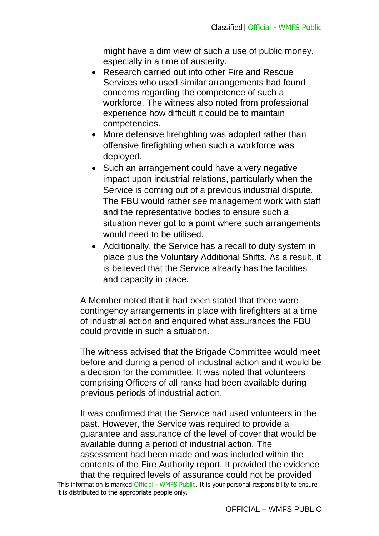might have a dim view of such a use of public money, especially in a time of austerity.

- Research carried out into other Fire and Rescue Services who used similar arrangements had found concerns regarding the competence of such a workforce. The witness also noted from professional experience how difficult it could be to maintain competencies.
- More defensive firefighting was adopted rather than offensive firefighting when such a workforce was deployed.
- Such an arrangement could have a very negative impact upon industrial relations, particularly when the Service is coming out of a previous industrial dispute. The FBU would rather see management work with staff and the representative bodies to ensure such a situation never got to a point where such arrangements would need to be utilised.
- Additionally, the Service has a recall to duty system in place plus the Voluntary Additional Shifts. As a result, it is believed that the Service already has the facilities and capacity in place.

A Member noted that it had been stated that there were contingency arrangements in place with firefighters at a time of industrial action and enquired what assurances the FBU could provide in such a situation.

The witness advised that the Brigade Committee would meet before and during a period of industrial action and it would be a decision for the committee. It was noted that volunteers comprising Officers of all ranks had been available during previous periods of industrial action.

It was confirmed that the Service had used volunteers in the past. However, the Service was required to provide a guarantee and assurance of the level of cover that would be available during a period of industrial action. The assessment had been made and was included within the contents of the Fire Authority report. It provided the evidence that the required levels of assurance could not be provided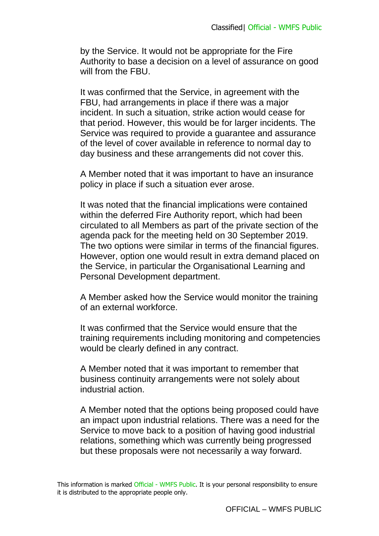by the Service. It would not be appropriate for the Fire Authority to base a decision on a level of assurance on good will from the FBU.

It was confirmed that the Service, in agreement with the FBU, had arrangements in place if there was a major incident. In such a situation, strike action would cease for that period. However, this would be for larger incidents. The Service was required to provide a guarantee and assurance of the level of cover available in reference to normal day to day business and these arrangements did not cover this.

A Member noted that it was important to have an insurance policy in place if such a situation ever arose.

It was noted that the financial implications were contained within the deferred Fire Authority report, which had been circulated to all Members as part of the private section of the agenda pack for the meeting held on 30 September 2019. The two options were similar in terms of the financial figures. However, option one would result in extra demand placed on the Service, in particular the Organisational Learning and Personal Development department.

A Member asked how the Service would monitor the training of an external workforce.

It was confirmed that the Service would ensure that the training requirements including monitoring and competencies would be clearly defined in any contract.

A Member noted that it was important to remember that business continuity arrangements were not solely about industrial action.

A Member noted that the options being proposed could have an impact upon industrial relations. There was a need for the Service to move back to a position of having good industrial relations, something which was currently being progressed but these proposals were not necessarily a way forward.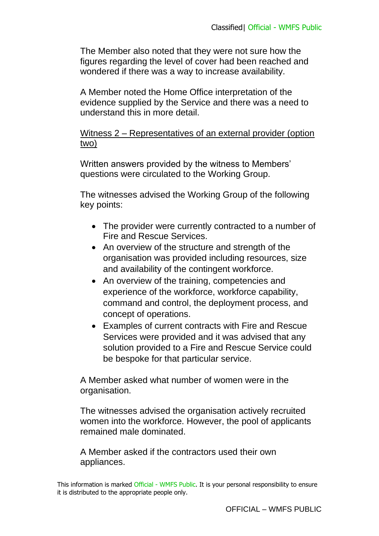The Member also noted that they were not sure how the figures regarding the level of cover had been reached and wondered if there was a way to increase availability.

A Member noted the Home Office interpretation of the evidence supplied by the Service and there was a need to understand this in more detail.

# Witness 2 – Representatives of an external provider (option two)

Written answers provided by the witness to Members' questions were circulated to the Working Group.

The witnesses advised the Working Group of the following key points:

- The provider were currently contracted to a number of Fire and Rescue Services.
- An overview of the structure and strength of the organisation was provided including resources, size and availability of the contingent workforce.
- An overview of the training, competencies and experience of the workforce, workforce capability, command and control, the deployment process, and concept of operations.
- Examples of current contracts with Fire and Rescue Services were provided and it was advised that any solution provided to a Fire and Rescue Service could be bespoke for that particular service.

A Member asked what number of women were in the organisation.

The witnesses advised the organisation actively recruited women into the workforce. However, the pool of applicants remained male dominated.

A Member asked if the contractors used their own appliances.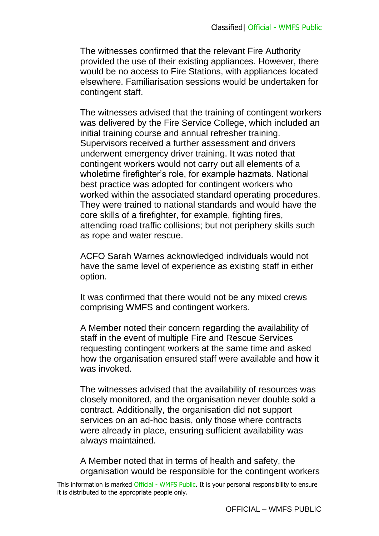The witnesses confirmed that the relevant Fire Authority provided the use of their existing appliances. However, there would be no access to Fire Stations, with appliances located elsewhere. Familiarisation sessions would be undertaken for contingent staff.

The witnesses advised that the training of contingent workers was delivered by the Fire Service College, which included an initial training course and annual refresher training. Supervisors received a further assessment and drivers underwent emergency driver training. It was noted that contingent workers would not carry out all elements of a wholetime firefighter's role, for example hazmats. National best practice was adopted for contingent workers who worked within the associated standard operating procedures. They were trained to national standards and would have the core skills of a firefighter, for example, fighting fires, attending road traffic collisions; but not periphery skills such as rope and water rescue.

ACFO Sarah Warnes acknowledged individuals would not have the same level of experience as existing staff in either option.

It was confirmed that there would not be any mixed crews comprising WMFS and contingent workers.

A Member noted their concern regarding the availability of staff in the event of multiple Fire and Rescue Services requesting contingent workers at the same time and asked how the organisation ensured staff were available and how it was invoked.

The witnesses advised that the availability of resources was closely monitored, and the organisation never double sold a contract. Additionally, the organisation did not support services on an ad-hoc basis, only those where contracts were already in place, ensuring sufficient availability was always maintained.

A Member noted that in terms of health and safety, the organisation would be responsible for the contingent workers

This information is marked Official - WMFS Public. It is your personal responsibility to ensure it is distributed to the appropriate people only.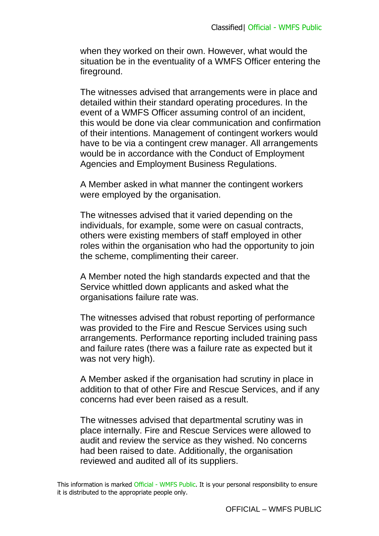when they worked on their own. However, what would the situation be in the eventuality of a WMFS Officer entering the fireground.

The witnesses advised that arrangements were in place and detailed within their standard operating procedures. In the event of a WMFS Officer assuming control of an incident, this would be done via clear communication and confirmation of their intentions. Management of contingent workers would have to be via a contingent crew manager. All arrangements would be in accordance with the Conduct of Employment Agencies and Employment Business Regulations.

A Member asked in what manner the contingent workers were employed by the organisation.

The witnesses advised that it varied depending on the individuals, for example, some were on casual contracts, others were existing members of staff employed in other roles within the organisation who had the opportunity to join the scheme, complimenting their career.

A Member noted the high standards expected and that the Service whittled down applicants and asked what the organisations failure rate was.

The witnesses advised that robust reporting of performance was provided to the Fire and Rescue Services using such arrangements. Performance reporting included training pass and failure rates (there was a failure rate as expected but it was not very high).

A Member asked if the organisation had scrutiny in place in addition to that of other Fire and Rescue Services, and if any concerns had ever been raised as a result.

The witnesses advised that departmental scrutiny was in place internally. Fire and Rescue Services were allowed to audit and review the service as they wished. No concerns had been raised to date. Additionally, the organisation reviewed and audited all of its suppliers.

This information is marked Official - WMFS Public. It is your personal responsibility to ensure it is distributed to the appropriate people only.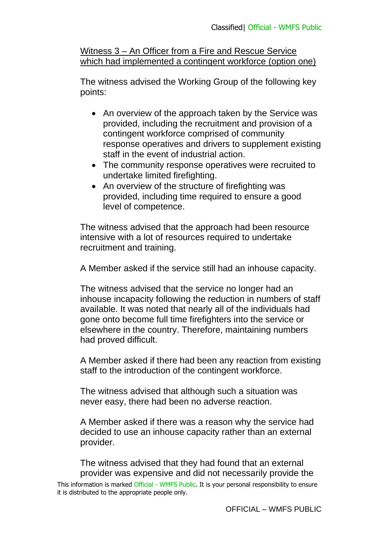Witness 3 – An Officer from a Fire and Rescue Service which had implemented a contingent workforce (option one)

The witness advised the Working Group of the following key points:

- An overview of the approach taken by the Service was provided, including the recruitment and provision of a contingent workforce comprised of community response operatives and drivers to supplement existing staff in the event of industrial action.
- The community response operatives were recruited to undertake limited firefighting.
- An overview of the structure of firefighting was provided, including time required to ensure a good level of competence.

The witness advised that the approach had been resource intensive with a lot of resources required to undertake recruitment and training.

A Member asked if the service still had an inhouse capacity.

The witness advised that the service no longer had an inhouse incapacity following the reduction in numbers of staff available. It was noted that nearly all of the individuals had gone onto become full time firefighters into the service or elsewhere in the country. Therefore, maintaining numbers had proved difficult.

A Member asked if there had been any reaction from existing staff to the introduction of the contingent workforce.

The witness advised that although such a situation was never easy, there had been no adverse reaction.

A Member asked if there was a reason why the service had decided to use an inhouse capacity rather than an external provider.

The witness advised that they had found that an external provider was expensive and did not necessarily provide the

This information is marked Official - WMFS Public. It is your personal responsibility to ensure it is distributed to the appropriate people only.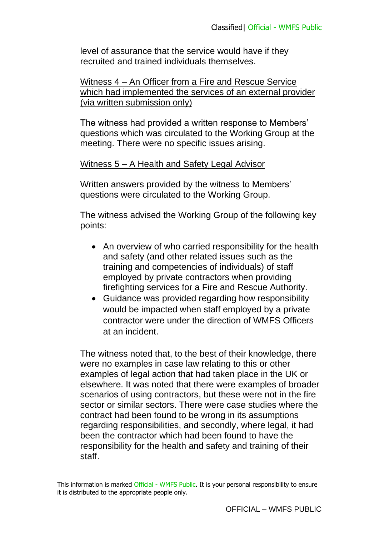level of assurance that the service would have if they recruited and trained individuals themselves.

## Witness 4 – An Officer from a Fire and Rescue Service which had implemented the services of an external provider (via written submission only)

The witness had provided a written response to Members' questions which was circulated to the Working Group at the meeting. There were no specific issues arising.

# Witness 5 – A Health and Safety Legal Advisor

Written answers provided by the witness to Members' questions were circulated to the Working Group.

The witness advised the Working Group of the following key points:

- An overview of who carried responsibility for the health and safety (and other related issues such as the training and competencies of individuals) of staff employed by private contractors when providing firefighting services for a Fire and Rescue Authority.
- Guidance was provided regarding how responsibility would be impacted when staff employed by a private contractor were under the direction of WMFS Officers at an incident.

The witness noted that, to the best of their knowledge, there were no examples in case law relating to this or other examples of legal action that had taken place in the UK or elsewhere. It was noted that there were examples of broader scenarios of using contractors, but these were not in the fire sector or similar sectors. There were case studies where the contract had been found to be wrong in its assumptions regarding responsibilities, and secondly, where legal, it had been the contractor which had been found to have the responsibility for the health and safety and training of their staff.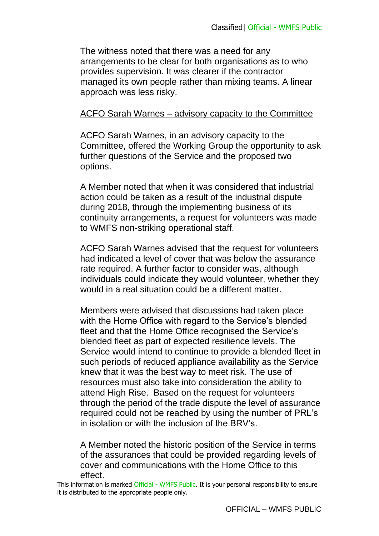The witness noted that there was a need for any arrangements to be clear for both organisations as to who provides supervision. It was clearer if the contractor managed its own people rather than mixing teams. A linear approach was less risky.

# ACFO Sarah Warnes – advisory capacity to the Committee

ACFO Sarah Warnes, in an advisory capacity to the Committee, offered the Working Group the opportunity to ask further questions of the Service and the proposed two options.

A Member noted that when it was considered that industrial action could be taken as a result of the industrial dispute during 2018, through the implementing business of its continuity arrangements, a request for volunteers was made to WMFS non-striking operational staff.

ACFO Sarah Warnes advised that the request for volunteers had indicated a level of cover that was below the assurance rate required. A further factor to consider was, although individuals could indicate they would volunteer, whether they would in a real situation could be a different matter.

Members were advised that discussions had taken place with the Home Office with regard to the Service's blended fleet and that the Home Office recognised the Service's blended fleet as part of expected resilience levels. The Service would intend to continue to provide a blended fleet in such periods of reduced appliance availability as the Service knew that it was the best way to meet risk. The use of resources must also take into consideration the ability to attend High Rise. Based on the request for volunteers through the period of the trade dispute the level of assurance required could not be reached by using the number of PRL's in isolation or with the inclusion of the BRV's.

A Member noted the historic position of the Service in terms of the assurances that could be provided regarding levels of cover and communications with the Home Office to this effect.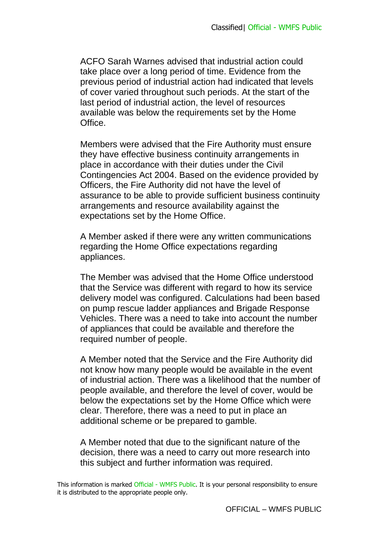ACFO Sarah Warnes advised that industrial action could take place over a long period of time. Evidence from the previous period of industrial action had indicated that levels of cover varied throughout such periods. At the start of the last period of industrial action, the level of resources available was below the requirements set by the Home **Office** 

Members were advised that the Fire Authority must ensure they have effective business continuity arrangements in place in accordance with their duties under the Civil Contingencies Act 2004. Based on the evidence provided by Officers, the Fire Authority did not have the level of assurance to be able to provide sufficient business continuity arrangements and resource availability against the expectations set by the Home Office.

A Member asked if there were any written communications regarding the Home Office expectations regarding appliances.

The Member was advised that the Home Office understood that the Service was different with regard to how its service delivery model was configured. Calculations had been based on pump rescue ladder appliances and Brigade Response Vehicles. There was a need to take into account the number of appliances that could be available and therefore the required number of people.

A Member noted that the Service and the Fire Authority did not know how many people would be available in the event of industrial action. There was a likelihood that the number of people available, and therefore the level of cover, would be below the expectations set by the Home Office which were clear. Therefore, there was a need to put in place an additional scheme or be prepared to gamble.

A Member noted that due to the significant nature of the decision, there was a need to carry out more research into this subject and further information was required.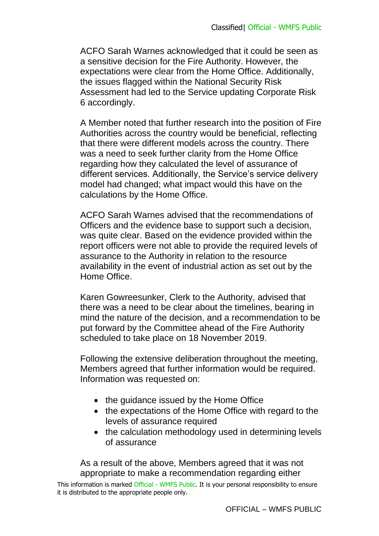ACFO Sarah Warnes acknowledged that it could be seen as a sensitive decision for the Fire Authority. However, the expectations were clear from the Home Office. Additionally, the issues flagged within the National Security Risk Assessment had led to the Service updating Corporate Risk 6 accordingly.

A Member noted that further research into the position of Fire Authorities across the country would be beneficial, reflecting that there were different models across the country. There was a need to seek further clarity from the Home Office regarding how they calculated the level of assurance of different services. Additionally, the Service's service delivery model had changed; what impact would this have on the calculations by the Home Office.

ACFO Sarah Warnes advised that the recommendations of Officers and the evidence base to support such a decision, was quite clear. Based on the evidence provided within the report officers were not able to provide the required levels of assurance to the Authority in relation to the resource availability in the event of industrial action as set out by the Home Office.

Karen Gowreesunker, Clerk to the Authority, advised that there was a need to be clear about the timelines, bearing in mind the nature of the decision, and a recommendation to be put forward by the Committee ahead of the Fire Authority scheduled to take place on 18 November 2019.

Following the extensive deliberation throughout the meeting, Members agreed that further information would be required. Information was requested on:

- the guidance issued by the Home Office
- the expectations of the Home Office with regard to the levels of assurance required
- the calculation methodology used in determining levels of assurance

As a result of the above, Members agreed that it was not appropriate to make a recommendation regarding either